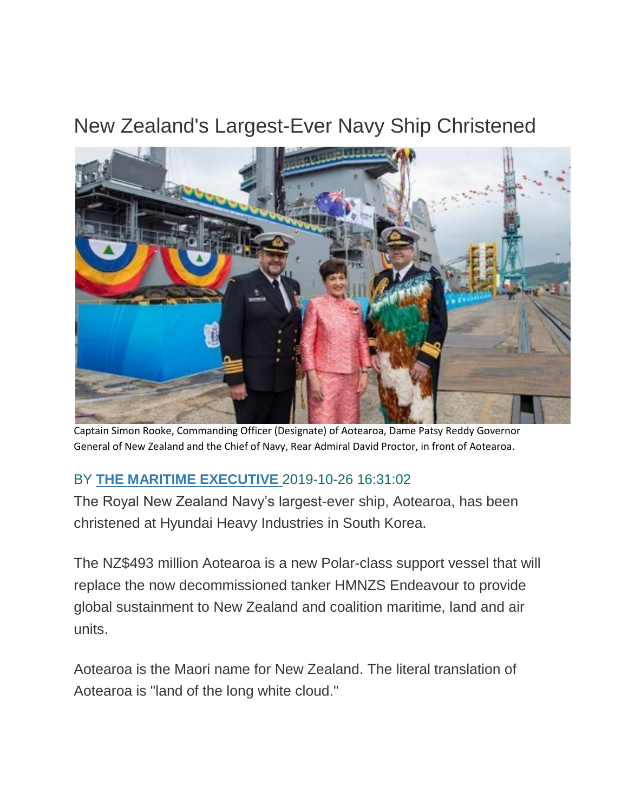## New Zealand's Largest-Ever Navy Ship Christened



Captain Simon Rooke, Commanding Officer (Designate) of Aotearoa, Dame Patsy Reddy Governor General of New Zealand and the Chief of Navy, Rear Admiral David Proctor, in front of Aotearoa.

## BY **[THE MARITIME EXECUTIVE](https://www.maritime-executive.com/author/marex)** 2019-10-26 16:31:02

The Royal New Zealand Navy's largest-ever ship, Aotearoa, has been christened at Hyundai Heavy Industries in South Korea.

The NZ\$493 million Aotearoa is a new Polar-class support vessel that will replace the now decommissioned tanker HMNZS Endeavour to provide global sustainment to New Zealand and coalition maritime, land and air units.

Aotearoa is the Maori name for New Zealand. The literal translation of Aotearoa is "land of the long white cloud."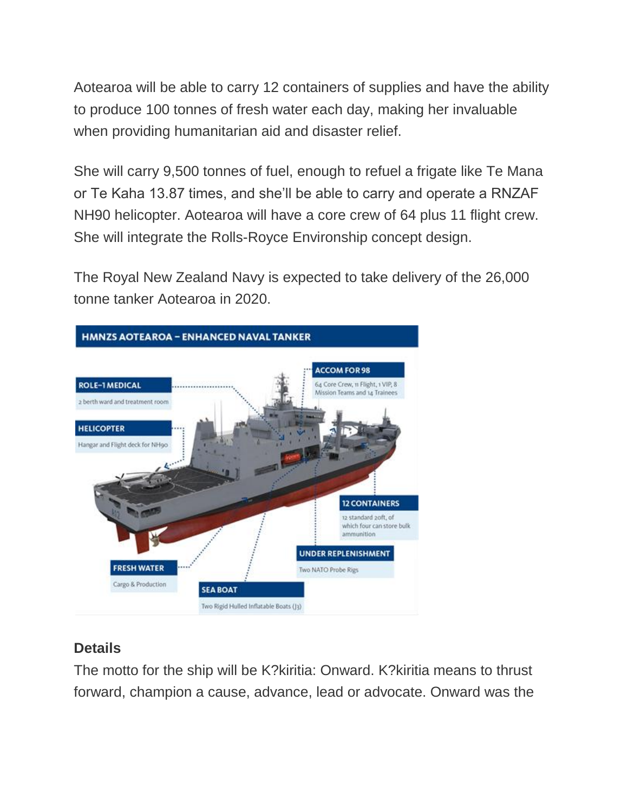Aotearoa will be able to carry 12 containers of supplies and have the ability to produce 100 tonnes of fresh water each day, making her invaluable when providing humanitarian aid and disaster relief.

She will carry 9,500 tonnes of fuel, enough to refuel a frigate like Te Mana or Te Kaha 13.87 times, and she'll be able to carry and operate a RNZAF NH90 helicopter. Aotearoa will have a core crew of 64 plus 11 flight crew. She will integrate the Rolls-Royce Environship concept design.

The Royal New Zealand Navy is expected to take delivery of the 26,000 tonne tanker Aotearoa in 2020.



## **Details**

The motto for the ship will be K?kiritia: Onward. K?kiritia means to thrust forward, champion a cause, advance, lead or advocate. Onward was the